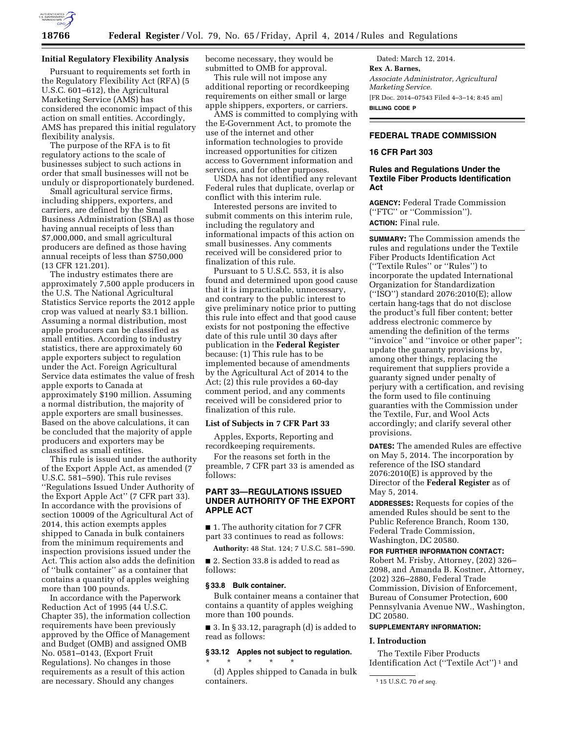

# **Initial Regulatory Flexibility Analysis**

Pursuant to requirements set forth in the Regulatory Flexibility Act (RFA) (5 U.S.C. 601–612), the Agricultural Marketing Service (AMS) has considered the economic impact of this action on small entities. Accordingly, AMS has prepared this initial regulatory flexibility analysis.

The purpose of the RFA is to fit regulatory actions to the scale of businesses subject to such actions in order that small businesses will not be unduly or disproportionately burdened.

Small agricultural service firms, including shippers, exporters, and carriers, are defined by the Small Business Administration (SBA) as those having annual receipts of less than \$7,000,000, and small agricultural producers are defined as those having annual receipts of less than \$750,000 (13 CFR 121.201).

The industry estimates there are approximately 7,500 apple producers in the U.S. The National Agricultural Statistics Service reports the 2012 apple crop was valued at nearly \$3.1 billion. Assuming a normal distribution, most apple producers can be classified as small entities. According to industry statistics, there are approximately 60 apple exporters subject to regulation under the Act. Foreign Agricultural Service data estimates the value of fresh apple exports to Canada at approximately \$190 million. Assuming a normal distribution, the majority of apple exporters are small businesses. Based on the above calculations, it can be concluded that the majority of apple producers and exporters may be classified as small entities.

This rule is issued under the authority of the Export Apple Act, as amended (7 U.S.C. 581–590). This rule revises ''Regulations Issued Under Authority of the Export Apple Act'' (7 CFR part 33). In accordance with the provisions of section 10009 of the Agricultural Act of 2014, this action exempts apples shipped to Canada in bulk containers from the minimum requirements and inspection provisions issued under the Act. This action also adds the definition of ''bulk container'' as a container that contains a quantity of apples weighing more than 100 pounds.

In accordance with the Paperwork Reduction Act of 1995 (44 U.S.C. Chapter 35), the information collection requirements have been previously approved by the Office of Management and Budget (OMB) and assigned OMB No. 0581–0143, (Export Fruit Regulations). No changes in those requirements as a result of this action are necessary. Should any changes

become necessary, they would be submitted to OMB for approval.

This rule will not impose any additional reporting or recordkeeping requirements on either small or large apple shippers, exporters, or carriers.

AMS is committed to complying with the E-Government Act, to promote the use of the internet and other information technologies to provide increased opportunities for citizen access to Government information and services, and for other purposes.

USDA has not identified any relevant Federal rules that duplicate, overlap or conflict with this interim rule.

Interested persons are invited to submit comments on this interim rule, including the regulatory and informational impacts of this action on small businesses. Any comments received will be considered prior to finalization of this rule.

Pursuant to 5 U.S.C. 553, it is also found and determined upon good cause that it is impracticable, unnecessary, and contrary to the public interest to give preliminary notice prior to putting this rule into effect and that good cause exists for not postponing the effective date of this rule until 30 days after publication in the **Federal Register**  because: (1) This rule has to be implemented because of amendments by the Agricultural Act of 2014 to the Act; (2) this rule provides a 60-day comment period, and any comments received will be considered prior to finalization of this rule.

#### **List of Subjects in 7 CFR Part 33**

Apples, Exports, Reporting and recordkeeping requirements.

For the reasons set forth in the preamble, 7 CFR part 33 is amended as follows:

# **PART 33—REGULATIONS ISSUED UNDER AUTHORITY OF THE EXPORT APPLE ACT**

■ 1. The authority citation for 7 CFR part 33 continues to read as follows:

**Authority:** 48 Stat. 124; 7 U.S.C. 581–590.

■ 2. Section 33.8 is added to read as follows:

#### **§ 33.8 Bulk container.**

Bulk container means a container that contains a quantity of apples weighing more than 100 pounds.

 $\blacksquare$  3. In § 33.12, paragraph (d) is added to read as follows:

# **§ 33.12 Apples not subject to regulation.**

 $\star$   $\qquad$   $\star$   $\qquad$   $\star$   $\qquad$   $\star$ 

(d) Apples shipped to Canada in bulk containers.

Dated: March 12, 2014. **Rex A. Barnes,**  *Associate Administrator, Agricultural Marketing Service.*  [FR Doc. 2014–07543 Filed 4–3–14; 8:45 am] **BILLING CODE P** 

# **FEDERAL TRADE COMMISSION**

## **16 CFR Part 303**

## **Rules and Regulations Under the Textile Fiber Products Identification Act**

**AGENCY:** Federal Trade Commission (''FTC'' or ''Commission''). **ACTION:** Final rule.

**SUMMARY:** The Commission amends the rules and regulations under the Textile Fiber Products Identification Act (''Textile Rules'' or ''Rules'') to incorporate the updated International Organization for Standardization (''ISO'') standard 2076:2010(E); allow certain hang-tags that do not disclose the product's full fiber content; better address electronic commerce by amending the definition of the terms "invoice" and "invoice or other paper"; update the guaranty provisions by, among other things, replacing the requirement that suppliers provide a guaranty signed under penalty of perjury with a certification, and revising the form used to file continuing guaranties with the Commission under the Textile, Fur, and Wool Acts accordingly; and clarify several other provisions.

**DATES:** The amended Rules are effective on May 5, 2014. The incorporation by reference of the ISO standard 2076:2010(E) is approved by the Director of the **Federal Register** as of May 5, 2014.

**ADDRESSES:** Requests for copies of the amended Rules should be sent to the Public Reference Branch, Room 130, Federal Trade Commission, Washington, DC 20580.

#### **FOR FURTHER INFORMATION CONTACT:**

Robert M. Frisby, Attorney, (202) 326– 2098, and Amanda B. Kostner, Attorney, (202) 326–2880, Federal Trade Commission, Division of Enforcement, Bureau of Consumer Protection, 600 Pennsylvania Avenue NW., Washington, DC 20580.

## **SUPPLEMENTARY INFORMATION:**

# **I. Introduction**

The Textile Fiber Products Identification Act (''Textile Act'') 1 and

<sup>1</sup> 15 U.S.C. 70 *et seq.*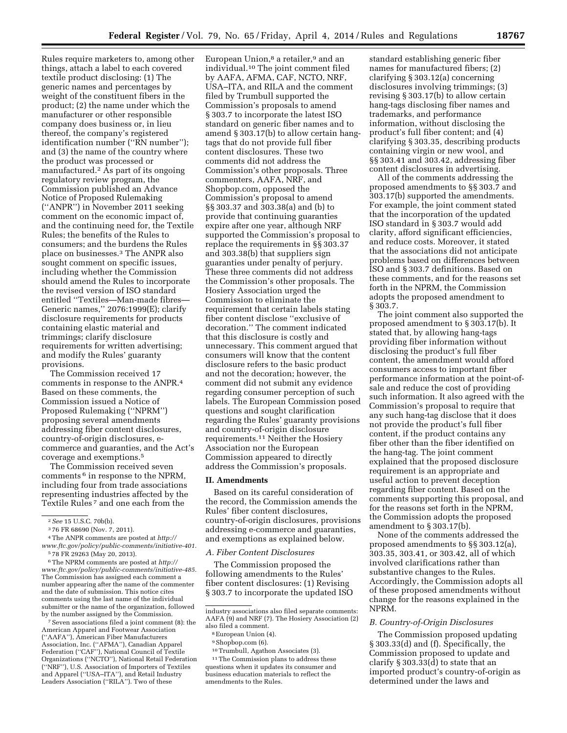Rules require marketers to, among other things, attach a label to each covered textile product disclosing: (1) The generic names and percentages by weight of the constituent fibers in the product; (2) the name under which the manufacturer or other responsible company does business or, in lieu thereof, the company's registered identification number (''RN number''); and (3) the name of the country where the product was processed or manufactured.2 As part of its ongoing regulatory review program, the Commission published an Advance Notice of Proposed Rulemaking (''ANPR'') in November 2011 seeking comment on the economic impact of, and the continuing need for, the Textile Rules; the benefits of the Rules to consumers; and the burdens the Rules place on businesses.3 The ANPR also sought comment on specific issues, including whether the Commission should amend the Rules to incorporate the revised version of ISO standard entitled ''Textiles—Man-made fibres— Generic names,'' 2076:1999(E); clarify disclosure requirements for products containing elastic material and trimmings; clarify disclosure requirements for written advertising; and modify the Rules' guaranty provisions.

The Commission received 17 comments in response to the ANPR.4 Based on these comments, the Commission issued a Notice of Proposed Rulemaking (''NPRM'') proposing several amendments addressing fiber content disclosures, country-of-origin disclosures, ecommerce and guaranties, and the Act's coverage and exemptions.5

The Commission received seven comments 6 in response to the NPRM, including four from trade associations representing industries affected by the Textile Rules<sup>7</sup> and one each from the

6The NPRM comments are posted at *[http://](http://www.ftc.gov/policy/public-comments/initiative-485) [www.ftc.gov/policy/public-comments/initiative-485.](http://www.ftc.gov/policy/public-comments/initiative-485)*  The Commission has assigned each comment a number appearing after the name of the commenter and the date of submission. This notice cites comments using the last name of the individual submitter or the name of the organization, followed by the number assigned by the Commission.

7Seven associations filed a joint comment (8): the American Apparel and Footwear Association (''AAFA''), American Fiber Manufacturers Association, Inc. (''AFMA''), Canadian Apparel Federation (''CAF''), National Council of Textile Organizations (''NCTO''), National Retail Federation (''NRF''), U.S. Association of Importers of Textiles and Apparel (''USA–ITA''), and Retail Industry Leaders Association (''RILA''). Two of these

European Union,<sup>8</sup> a retailer,<sup>9</sup> and an individual.10 The joint comment filed by AAFA, AFMA, CAF, NCTO, NRF, USA–ITA, and RILA and the comment filed by Trumbull supported the Commission's proposals to amend § 303.7 to incorporate the latest ISO standard on generic fiber names and to amend § 303.17(b) to allow certain hangtags that do not provide full fiber content disclosures. These two comments did not address the Commission's other proposals. Three commenters, AAFA, NRF, and Shopbop.com, opposed the Commission's proposal to amend §§ 303.37 and 303.38(a) and (b) to provide that continuing guaranties expire after one year, although NRF supported the Commission's proposal to replace the requirements in §§ 303.37 and 303.38(b) that suppliers sign guaranties under penalty of perjury. These three comments did not address the Commission's other proposals. The Hosiery Association urged the Commission to eliminate the requirement that certain labels stating fiber content disclose ''exclusive of decoration.'' The comment indicated that this disclosure is costly and unnecessary. This comment argued that consumers will know that the content disclosure refers to the basic product and not the decoration; however, the comment did not submit any evidence regarding consumer perception of such labels. The European Commission posed questions and sought clarification regarding the Rules' guaranty provisions and country-of-origin disclosure requirements.11 Neither the Hosiery Association nor the European Commission appeared to directly address the Commission's proposals.

#### **II. Amendments**

Based on its careful consideration of the record, the Commission amends the Rules' fiber content disclosures, country-of-origin disclosures, provisions addressing e-commerce and guaranties, and exemptions as explained below.

### *A. Fiber Content Disclosures*

The Commission proposed the following amendments to the Rules' fiber content disclosures: (1) Revising § 303.7 to incorporate the updated ISO

10Trumbull, Agathon Associates (3).

11The Commission plans to address these questions when it updates its consumer and business education materials to reflect the amendments to the Rules.

standard establishing generic fiber names for manufactured fibers; (2) clarifying § 303.12(a) concerning disclosures involving trimmings; (3) revising § 303.17(b) to allow certain hang-tags disclosing fiber names and trademarks, and performance information, without disclosing the product's full fiber content; and (4) clarifying § 303.35, describing products containing virgin or new wool, and §§ 303.41 and 303.42, addressing fiber content disclosures in advertising.

All of the comments addressing the proposed amendments to §§ 303.7 and 303.17(b) supported the amendments. For example, the joint comment stated that the incorporation of the updated ISO standard in § 303.7 would add clarity, afford significant efficiencies, and reduce costs. Moreover, it stated that the associations did not anticipate problems based on differences between ISO and § 303.7 definitions. Based on these comments, and for the reasons set forth in the NPRM, the Commission adopts the proposed amendment to § 303.7.

The joint comment also supported the proposed amendment to § 303.17(b). It stated that, by allowing hang-tags providing fiber information without disclosing the product's full fiber content, the amendment would afford consumers access to important fiber performance information at the point-ofsale and reduce the cost of providing such information. It also agreed with the Commission's proposal to require that any such hang-tag disclose that it does not provide the product's full fiber content, if the product contains any fiber other than the fiber identified on the hang-tag. The joint comment explained that the proposed disclosure requirement is an appropriate and useful action to prevent deception regarding fiber content. Based on the comments supporting this proposal, and for the reasons set forth in the NPRM, the Commission adopts the proposed amendment to § 303.17(b).

None of the comments addressed the proposed amendments to §§ 303.12(a), 303.35, 303.41, or 303.42, all of which involved clarifications rather than substantive changes to the Rules. Accordingly, the Commission adopts all of these proposed amendments without change for the reasons explained in the NPRM.

## *B. Country-of-Origin Disclosures*

The Commission proposed updating § 303.33(d) and (f). Specifically, the Commission proposed to update and clarify § 303.33(d) to state that an imported product's country-of-origin as determined under the laws and

<sup>2</sup>*See* 15 U.S.C. 70b(b).

<sup>3</sup> 76 FR 68690 (Nov. 7, 2011).

<sup>4</sup>The ANPR comments are posted at *[http://](http://www.ftc.gov/policy/public-comments/initiative-401) [www.ftc.gov/policy/public-comments/initiative-401.](http://www.ftc.gov/policy/public-comments/initiative-401)*  5 78 FR 29263 (May 20, 2013).

industry associations also filed separate comments: AAFA (9) and NRF (7). The Hosiery Association (2) also filed a comment.

<sup>8</sup>European Union (4).

<sup>&</sup>lt;sup>9</sup>Shopbop.com (6).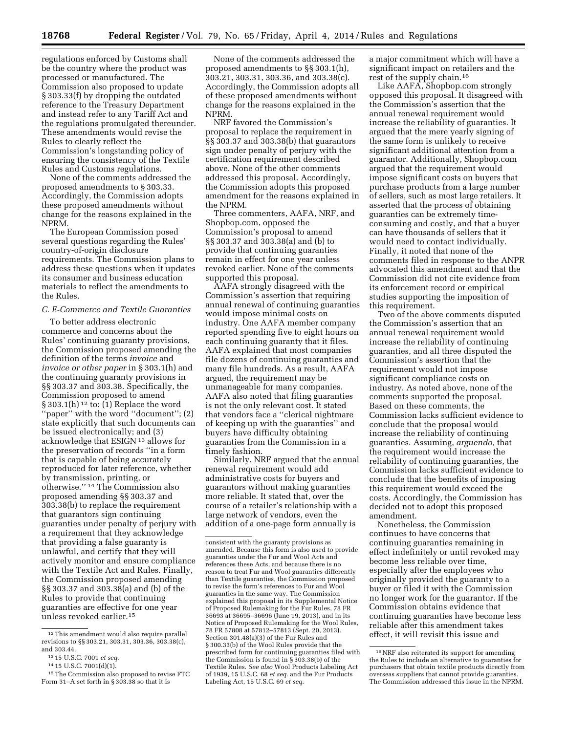regulations enforced by Customs shall be the country where the product was processed or manufactured. The Commission also proposed to update § 303.33(f) by dropping the outdated reference to the Treasury Department and instead refer to any Tariff Act and the regulations promulgated thereunder. These amendments would revise the Rules to clearly reflect the Commission's longstanding policy of ensuring the consistency of the Textile Rules and Customs regulations.

None of the comments addressed the proposed amendments to § 303.33. Accordingly, the Commission adopts these proposed amendments without change for the reasons explained in the NPRM.

The European Commission posed several questions regarding the Rules' country-of-origin disclosure requirements. The Commission plans to address these questions when it updates its consumer and business education materials to reflect the amendments to the Rules.

## *C. E-Commerce and Textile Guaranties*

To better address electronic commerce and concerns about the Rules' continuing guaranty provisions, the Commission proposed amending the definition of the terms *invoice* and *invoice or other paper* in § 303.1(h) and the continuing guaranty provisions in §§ 303.37 and 303.38. Specifically, the Commission proposed to amend § 303.1(h) 12 to: (1) Replace the word ''paper'' with the word ''document''; (2) state explicitly that such documents can be issued electronically; and (3) acknowledge that ESIGN 13 allows for the preservation of records ''in a form that is capable of being accurately reproduced for later reference, whether by transmission, printing, or otherwise.'' 14 The Commission also proposed amending §§ 303.37 and 303.38(b) to replace the requirement that guarantors sign continuing guaranties under penalty of perjury with a requirement that they acknowledge that providing a false guaranty is unlawful, and certify that they will actively monitor and ensure compliance with the Textile Act and Rules. Finally, the Commission proposed amending §§ 303.37 and 303.38(a) and (b) of the Rules to provide that continuing guaranties are effective for one year unless revoked earlier.15

None of the comments addressed the proposed amendments to §§ 303.1(h), 303.21, 303.31, 303.36, and 303.38(c). Accordingly, the Commission adopts all of these proposed amendments without change for the reasons explained in the NPRM.

NRF favored the Commission's proposal to replace the requirement in §§ 303.37 and 303.38(b) that guarantors sign under penalty of perjury with the certification requirement described above. None of the other comments addressed this proposal. Accordingly, the Commission adopts this proposed amendment for the reasons explained in the NPRM.

Three commenters, AAFA, NRF, and Shopbop.com, opposed the Commission's proposal to amend §§ 303.37 and 303.38(a) and (b) to provide that continuing guaranties remain in effect for one year unless revoked earlier. None of the comments supported this proposal.

AAFA strongly disagreed with the Commission's assertion that requiring annual renewal of continuing guaranties would impose minimal costs on industry. One AAFA member company reported spending five to eight hours on each continuing guaranty that it files. AAFA explained that most companies file dozens of continuing guaranties and many file hundreds. As a result, AAFA argued, the requirement may be unmanageable for many companies. AAFA also noted that filing guaranties is not the only relevant cost. It stated that vendors face a ''clerical nightmare of keeping up with the guaranties'' and buyers have difficulty obtaining guaranties from the Commission in a timely fashion.

Similarly, NRF argued that the annual renewal requirement would add administrative costs for buyers and guarantors without making guaranties more reliable. It stated that, over the course of a retailer's relationship with a large network of vendors, even the addition of a one-page form annually is

a major commitment which will have a significant impact on retailers and the rest of the supply chain.16

Like AAFA, Shopbop.com strongly opposed this proposal. It disagreed with the Commission's assertion that the annual renewal requirement would increase the reliability of guaranties. It argued that the mere yearly signing of the same form is unlikely to receive significant additional attention from a guarantor. Additionally, Shopbop.com argued that the requirement would impose significant costs on buyers that purchase products from a large number of sellers, such as most large retailers. It asserted that the process of obtaining guaranties can be extremely timeconsuming and costly, and that a buyer can have thousands of sellers that it would need to contact individually. Finally, it noted that none of the comments filed in response to the ANPR advocated this amendment and that the Commission did not cite evidence from its enforcement record or empirical studies supporting the imposition of this requirement.

Two of the above comments disputed the Commission's assertion that an annual renewal requirement would increase the reliability of continuing guaranties, and all three disputed the Commission's assertion that the requirement would not impose significant compliance costs on industry. As noted above, none of the comments supported the proposal. Based on these comments, the Commission lacks sufficient evidence to conclude that the proposal would increase the reliability of continuing guaranties. Assuming, *arguendo,* that the requirement would increase the reliability of continuing guaranties, the Commission lacks sufficient evidence to conclude that the benefits of imposing this requirement would exceed the costs. Accordingly, the Commission has decided not to adopt this proposed amendment.

Nonetheless, the Commission continues to have concerns that continuing guaranties remaining in effect indefinitely or until revoked may become less reliable over time, especially after the employees who originally provided the guaranty to a buyer or filed it with the Commission no longer work for the guarantor. If the Commission obtains evidence that continuing guaranties have become less reliable after this amendment takes effect, it will revisit this issue and

<sup>12</sup>This amendment would also require parallel revisions to §§ 303.21, 303.31, 303.36, 303.38(c), and 303.44.

<sup>13</sup> 15 U.S.C. 7001 *et seq.* 

<sup>14</sup> 15 U.S.C. 7001(d)(1).

<sup>15</sup>The Commission also proposed to revise FTC Form 31–A set forth in  $\S 303.38$  so that it is

consistent with the guaranty provisions as amended. Because this form is also used to provide guaranties under the Fur and Wool Acts and references these Acts, and because there is no reason to treat Fur and Wool guaranties differently than Textile guaranties, the Commission propose to revise the form's references to Fur and Wool guaranties in the same way. The Commission explained this proposal in its Supplemental Notice of Proposed Rulemaking for the Fur Rules, 78 FR 36693 at 36695–36696 (June 19, 2013), and in its Notice of Proposed Rulemaking for the Wool Rules, 78 FR 57808 at 57812–57813 (Sept. 20, 2013). Section 301.48(a)(3) of the Fur Rules and § 300.33(b) of the Wool Rules provide that the prescribed form for continuing guaranties filed with the Commission is found in § 303.38(b) of the Textile Rules. *See also* Wool Products Labeling Act of 1939, 15 U.S.C. 68 *et seq.* and the Fur Products Labeling Act, 15 U.S.C. 69 *et seq.* 

<sup>16</sup>NRF also reiterated its support for amending the Rules to include an alternative to guaranties for purchasers that obtain textile products directly from overseas suppliers that cannot provide guaranties. The Commission addressed this issue in the NPRM.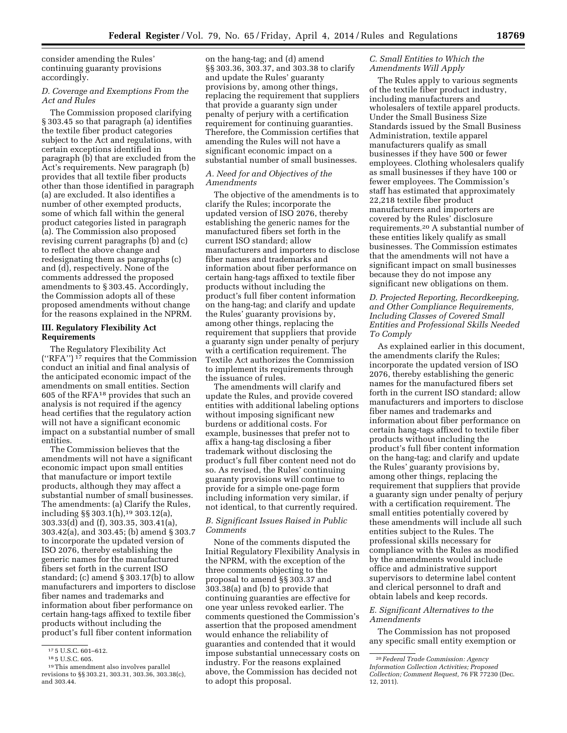consider amending the Rules' continuing guaranty provisions accordingly.

# *D. Coverage and Exemptions From the Act and Rules*

The Commission proposed clarifying § 303.45 so that paragraph (a) identifies the textile fiber product categories subject to the Act and regulations, with certain exceptions identified in paragraph (b) that are excluded from the Act's requirements. New paragraph (b) provides that all textile fiber products other than those identified in paragraph (a) are excluded. It also identifies a number of other exempted products, some of which fall within the general product categories listed in paragraph (a). The Commission also proposed revising current paragraphs (b) and (c) to reflect the above change and redesignating them as paragraphs (c) and (d), respectively. None of the comments addressed the proposed amendments to § 303.45. Accordingly, the Commission adopts all of these proposed amendments without change for the reasons explained in the NPRM.

# **III. Regulatory Flexibility Act Requirements**

The Regulatory Flexibility Act (''RFA'') 17 requires that the Commission conduct an initial and final analysis of the anticipated economic impact of the amendments on small entities. Section 605 of the RFA18 provides that such an analysis is not required if the agency head certifies that the regulatory action will not have a significant economic impact on a substantial number of small entities.

The Commission believes that the amendments will not have a significant economic impact upon small entities that manufacture or import textile products, although they may affect a substantial number of small businesses. The amendments: (a) Clarify the Rules, including §§ 303.1(h),19 303.12(a), 303.33(d) and (f), 303.35, 303.41(a), 303.42(a), and 303.45; (b) amend § 303.7 to incorporate the updated version of ISO 2076, thereby establishing the generic names for the manufactured fibers set forth in the current ISO standard; (c) amend § 303.17(b) to allow manufacturers and importers to disclose fiber names and trademarks and information about fiber performance on certain hang-tags affixed to textile fiber products without including the product's full fiber content information

on the hang-tag; and (d) amend §§ 303.36, 303.37, and 303.38 to clarify and update the Rules' guaranty provisions by, among other things, replacing the requirement that suppliers that provide a guaranty sign under penalty of perjury with a certification requirement for continuing guaranties. Therefore, the Commission certifies that amending the Rules will not have a significant economic impact on a substantial number of small businesses.

# *A. Need for and Objectives of the Amendments*

The objective of the amendments is to clarify the Rules; incorporate the updated version of ISO 2076, thereby establishing the generic names for the manufactured fibers set forth in the current ISO standard; allow manufacturers and importers to disclose fiber names and trademarks and information about fiber performance on certain hang-tags affixed to textile fiber products without including the product's full fiber content information on the hang-tag; and clarify and update the Rules' guaranty provisions by, among other things, replacing the requirement that suppliers that provide a guaranty sign under penalty of perjury with a certification requirement. The Textile Act authorizes the Commission to implement its requirements through the issuance of rules.

The amendments will clarify and update the Rules, and provide covered entities with additional labeling options without imposing significant new burdens or additional costs. For example, businesses that prefer not to affix a hang-tag disclosing a fiber trademark without disclosing the product's full fiber content need not do so. As revised, the Rules' continuing guaranty provisions will continue to provide for a simple one-page form including information very similar, if not identical, to that currently required.

# *B. Significant Issues Raised in Public Comments*

None of the comments disputed the Initial Regulatory Flexibility Analysis in the NPRM, with the exception of the three comments objecting to the proposal to amend §§ 303.37 and 303.38(a) and (b) to provide that continuing guaranties are effective for one year unless revoked earlier. The comments questioned the Commission's assertion that the proposed amendment would enhance the reliability of guaranties and contended that it would impose substantial unnecessary costs on industry. For the reasons explained above, the Commission has decided not to adopt this proposal.

# *C. Small Entities to Which the Amendments Will Apply*

The Rules apply to various segments of the textile fiber product industry, including manufacturers and wholesalers of textile apparel products. Under the Small Business Size Standards issued by the Small Business Administration, textile apparel manufacturers qualify as small businesses if they have 500 or fewer employees. Clothing wholesalers qualify as small businesses if they have 100 or fewer employees. The Commission's staff has estimated that approximately 22,218 textile fiber product manufacturers and importers are covered by the Rules' disclosure requirements.20 A substantial number of these entities likely qualify as small businesses. The Commission estimates that the amendments will not have a significant impact on small businesses because they do not impose any significant new obligations on them.

# *D. Projected Reporting, Recordkeeping, and Other Compliance Requirements, Including Classes of Covered Small Entities and Professional Skills Needed To Comply*

As explained earlier in this document, the amendments clarify the Rules; incorporate the updated version of ISO 2076, thereby establishing the generic names for the manufactured fibers set forth in the current ISO standard; allow manufacturers and importers to disclose fiber names and trademarks and information about fiber performance on certain hang-tags affixed to textile fiber products without including the product's full fiber content information on the hang-tag; and clarify and update the Rules' guaranty provisions by, among other things, replacing the requirement that suppliers that provide a guaranty sign under penalty of perjury with a certification requirement. The small entities potentially covered by these amendments will include all such entities subject to the Rules. The professional skills necessary for compliance with the Rules as modified by the amendments would include office and administrative support supervisors to determine label content and clerical personnel to draft and obtain labels and keep records.

# *E. Significant Alternatives to the Amendments*

The Commission has not proposed any specific small entity exemption or

<sup>&</sup>lt;sup>17</sup> 5 U.S.C. 601–612.<br><sup>18</sup> 5 U.S.C. 605.<br><sup>19</sup>This amendment also involves parallel revisions to §§ 303.21, 303.31, 303.36, 303.38(c), and 303.44.

<sup>20</sup> *Federal Trade Commission: Agency Information Collection Activities; Proposed Collection; Comment Request,* 76 FR 77230 (Dec. 12, 2011).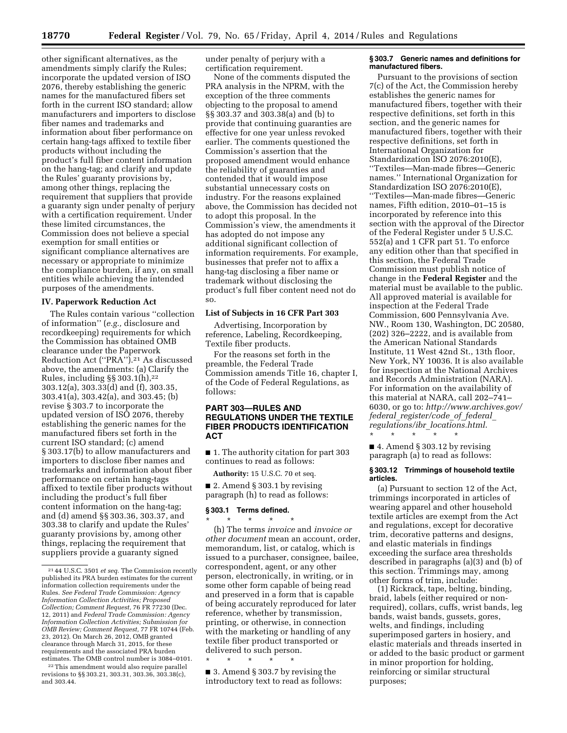other significant alternatives, as the amendments simply clarify the Rules; incorporate the updated version of ISO 2076, thereby establishing the generic names for the manufactured fibers set forth in the current ISO standard; allow manufacturers and importers to disclose fiber names and trademarks and information about fiber performance on certain hang-tags affixed to textile fiber products without including the product's full fiber content information on the hang-tag; and clarify and update the Rules' guaranty provisions by, among other things, replacing the requirement that suppliers that provide a guaranty sign under penalty of perjury with a certification requirement. Under these limited circumstances, the Commission does not believe a special exemption for small entities or significant compliance alternatives are necessary or appropriate to minimize the compliance burden, if any, on small entities while achieving the intended purposes of the amendments.

#### **IV. Paperwork Reduction Act**

The Rules contain various ''collection of information'' (*e.g.,* disclosure and recordkeeping) requirements for which the Commission has obtained OMB clearance under the Paperwork Reduction Act (''PRA'').21 As discussed above, the amendments: (a) Clarify the Rules, including  $\S$ § 303.1(h),<sup>22</sup> 303.12(a), 303.33(d) and (f), 303.35, 303.41(a), 303.42(a), and 303.45; (b) revise § 303.7 to incorporate the updated version of ISO 2076, thereby establishing the generic names for the manufactured fibers set forth in the current ISO standard; (c) amend § 303.17(b) to allow manufacturers and importers to disclose fiber names and trademarks and information about fiber performance on certain hang-tags affixed to textile fiber products without including the product's full fiber content information on the hang-tag; and (d) amend §§ 303.36, 303.37, and 303.38 to clarify and update the Rules' guaranty provisions by, among other things, replacing the requirement that suppliers provide a guaranty signed

22This amendment would also require parallel revisions to §§ 303.21, 303.31, 303.36, 303.38(c), and 303.44.

under penalty of perjury with a certification requirement.

None of the comments disputed the PRA analysis in the NPRM, with the exception of the three comments objecting to the proposal to amend §§ 303.37 and 303.38(a) and (b) to provide that continuing guaranties are effective for one year unless revoked earlier. The comments questioned the Commission's assertion that the proposed amendment would enhance the reliability of guaranties and contended that it would impose substantial unnecessary costs on industry. For the reasons explained above, the Commission has decided not to adopt this proposal. In the Commission's view, the amendments it has adopted do not impose any additional significant collection of information requirements. For example, businesses that prefer not to affix a hang-tag disclosing a fiber name or trademark without disclosing the product's full fiber content need not do so.

# **List of Subjects in 16 CFR Part 303**

Advertising, Incorporation by reference, Labeling, Recordkeeping, Textile fiber products.

For the reasons set forth in the preamble, the Federal Trade Commission amends Title 16, chapter I, of the Code of Federal Regulations, as follows:

# **PART 303—RULES AND REGULATIONS UNDER THE TEXTILE FIBER PRODUCTS IDENTIFICATION ACT**

■ 1. The authority citation for part 303 continues to read as follows:

**Authority:** 15 U.S.C. 70 et seq.

■ 2. Amend § 303.1 by revising paragraph (h) to read as follows:

## **§ 303.1 Terms defined.**

\* \* \* \* \* (h) The terms *invoice* and *invoice or other document* mean an account, order, memorandum, list, or catalog, which is issued to a purchaser, consignee, bailee, correspondent, agent, or any other person, electronically, in writing, or in some other form capable of being read and preserved in a form that is capable of being accurately reproduced for later reference, whether by transmission, printing, or otherwise, in connection with the marketing or handling of any textile fiber product transported or delivered to such person.

\* \* \* \* \*

■ 3. Amend § 303.7 by revising the introductory text to read as follows:

#### **§ 303.7 Generic names and definitions for manufactured fibers.**

Pursuant to the provisions of section 7(c) of the Act, the Commission hereby establishes the generic names for manufactured fibers, together with their respective definitions, set forth in this section, and the generic names for manufactured fibers, together with their respective definitions, set forth in International Organization for Standardization ISO 2076:2010(E), ''Textiles—Man-made fibres—Generic names.'' International Organization for Standardization ISO 2076:2010(E), ''Textiles—Man-made fibres—Generic names, Fifth edition, 2010–01–15 is incorporated by reference into this section with the approval of the Director of the Federal Register under 5 U.S.C. 552(a) and 1 CFR part 51. To enforce any edition other than that specified in this section, the Federal Trade Commission must publish notice of change in the **Federal Register** and the material must be available to the public. All approved material is available for inspection at the Federal Trade Commission, 600 Pennsylvania Ave. NW., Room 130, Washington, DC 20580, (202) 326–2222, and is available from the American National Standards Institute, 11 West 42nd St., 13th floor, New York, NY 10036. It is also available for inspection at the National Archives and Records Administration (NARA). For information on the availability of this material at NARA, call 202–741– 6030, or go to: *[http://www.archives.gov/](http://www.archives.gov/federal_register/code_of_federal_regulations/ibr_locations.html) federal*\_*[register/code](http://www.archives.gov/federal_register/code_of_federal_regulations/ibr_locations.html)*\_*of*\_*federal*\_ *[regulations/ibr](http://www.archives.gov/federal_register/code_of_federal_regulations/ibr_locations.html)*\_*locations.html*. \* \* \* \* \*

■ 4. Amend § 303.12 by revising paragraph (a) to read as follows:

#### **§ 303.12 Trimmings of household textile articles.**

(a) Pursuant to section 12 of the Act, trimmings incorporated in articles of wearing apparel and other household textile articles are exempt from the Act and regulations, except for decorative trim, decorative patterns and designs, and elastic materials in findings exceeding the surface area thresholds described in paragraphs (a)(3) and (b) of this section. Trimmings may, among other forms of trim, include:

(1) Rickrack, tape, belting, binding, braid, labels (either required or nonrequired), collars, cuffs, wrist bands, leg bands, waist bands, gussets, gores, welts, and findings, including superimposed garters in hosiery, and elastic materials and threads inserted in or added to the basic product or garment in minor proportion for holding, reinforcing or similar structural purposes;

<sup>21</sup> 44 U.S.C. 3501 *et seq.* The Commission recently published its PRA burden estimates for the current information collection requirements under the Rules. *See Federal Trade Commission: Agency Information Collection Activities; Proposed Collection; Comment Request,* 76 FR 77230 (Dec. 12, 2011) and *Federal Trade Commission: Agency Information Collection Activities; Submission for OMB Review; Comment Request,* 77 FR 10744 (Feb. 23, 2012). On March 26, 2012, OMB granted clearance through March 31, 2015, for these requirements and the associated PRA burden estimates. The OMB control number is 3084–0101.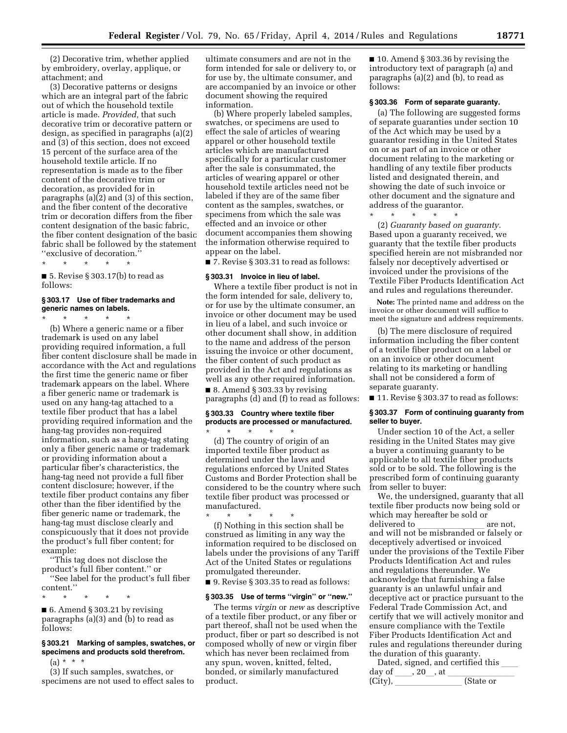(2) Decorative trim, whether applied by embroidery, overlay, applique, or attachment; and

(3) Decorative patterns or designs which are an integral part of the fabric out of which the household textile article is made. *Provided,* that such decorative trim or decorative pattern or design, as specified in paragraphs (a)(2) and (3) of this section, does not exceed 15 percent of the surface area of the household textile article. If no representation is made as to the fiber content of the decorative trim or decoration, as provided for in paragraphs  $(a)(2)$  and  $(3)$  of this section, and the fiber content of the decorative trim or decoration differs from the fiber content designation of the basic fabric, the fiber content designation of the basic fabric shall be followed by the statement ''exclusive of decoration.''

\* \* \* \* \* ■ 5. Revise § 303.17(b) to read as follows:

#### **§ 303.17 Use of fiber trademarks and generic names on labels.**

 $\star$   $\star$   $\star$ (b) Where a generic name or a fiber trademark is used on any label

providing required information, a full fiber content disclosure shall be made in accordance with the Act and regulations the first time the generic name or fiber trademark appears on the label. Where a fiber generic name or trademark is used on any hang-tag attached to a textile fiber product that has a label providing required information and the hang-tag provides non-required information, such as a hang-tag stating only a fiber generic name or trademark or providing information about a particular fiber's characteristics, the hang-tag need not provide a full fiber content disclosure; however, if the textile fiber product contains any fiber other than the fiber identified by the fiber generic name or trademark, the hang-tag must disclose clearly and conspicuously that it does not provide the product's full fiber content; for example:

''This tag does not disclose the product's full fiber content.'' or

''See label for the product's full fiber content.''

\* \* \* \* \* ■ 6. Amend § 303.21 by revising paragraphs (a)(3) and (b) to read as follows:

# **§ 303.21 Marking of samples, swatches, or specimens and products sold therefrom.**

(a) \* \* \*

(3) If such samples, swatches, or specimens are not used to effect sales to ultimate consumers and are not in the form intended for sale or delivery to, or for use by, the ultimate consumer, and are accompanied by an invoice or other document showing the required information.

(b) Where properly labeled samples, swatches, or specimens are used to effect the sale of articles of wearing apparel or other household textile articles which are manufactured specifically for a particular customer after the sale is consummated, the articles of wearing apparel or other household textile articles need not be labeled if they are of the same fiber content as the samples, swatches, or specimens from which the sale was effected and an invoice or other document accompanies them showing the information otherwise required to appear on the label.

■ 7. Revise § 303.31 to read as follows:

#### **§ 303.31 Invoice in lieu of label.**

Where a textile fiber product is not in the form intended for sale, delivery to, or for use by the ultimate consumer, an invoice or other document may be used in lieu of a label, and such invoice or other document shall show, in addition to the name and address of the person issuing the invoice or other document, the fiber content of such product as provided in the Act and regulations as well as any other required information.

 $\blacksquare$  8. Amend § 303.33 by revising paragraphs (d) and (f) to read as follows:

# **§ 303.33 Country where textile fiber products are processed or manufactured.**  \* \* \* \* \*

(d) The country of origin of an imported textile fiber product as determined under the laws and regulations enforced by United States Customs and Border Protection shall be considered to be the country where such textile fiber product was processed or manufactured.

\* \* \* \* \* (f) Nothing in this section shall be construed as limiting in any way the information required to be disclosed on labels under the provisions of any Tariff Act of the United States or regulations promulgated thereunder.

■ 9. Revise § 303.35 to read as follows:

#### **§ 303.35 Use of terms ''virgin'' or ''new.''**

The terms *virgin* or *new* as descriptive of a textile fiber product, or any fiber or part thereof, shall not be used when the product, fiber or part so described is not composed wholly of new or virgin fiber which has never been reclaimed from any spun, woven, knitted, felted, bonded, or similarly manufactured product.

■ 10. Amend § 303.36 by revising the introductory text of paragraph (a) and paragraphs (a)(2) and (b), to read as follows:

#### **§ 303.36 Form of separate guaranty.**

(a) The following are suggested forms of separate guaranties under section 10 of the Act which may be used by a guarantor residing in the United States on or as part of an invoice or other document relating to the marketing or handling of any textile fiber products listed and designated therein, and showing the date of such invoice or other document and the signature and address of the guarantor.

\* \* \* \* \*

(2) *Guaranty based on guaranty.*  Based upon a guaranty received, we guaranty that the textile fiber products specified herein are not misbranded nor falsely nor deceptively advertised or invoiced under the provisions of the Textile Fiber Products Identification Act and rules and regulations thereunder.

**Note:** The printed name and address on the invoice or other document will suffice to meet the signature and address requirements.

(b) The mere disclosure of required information including the fiber content of a textile fiber product on a label or on an invoice or other document relating to its marketing or handling shall not be considered a form of separate guaranty.

■ 11. Revise § 303.37 to read as follows:

### **§ 303.37 Form of continuing guaranty from seller to buyer.**

Under section 10 of the Act, a seller residing in the United States may give a buyer a continuing guaranty to be applicable to all textile fiber products sold or to be sold. The following is the prescribed form of continuing guaranty from seller to buyer:

We, the undersigned, guaranty that all textile fiber products now being sold or which may hereafter be sold or<br>delivered to delivered to \_\_\_\_\_\_\_\_\_\_\_\_\_\_\_\_\_\_ are not,<br>and will not be misbranded or falsely or deceptively advertised or invoiced under the provisions of the Textile Fiber Products Identification Act and rules and regulations thereunder. We acknowledge that furnishing a false guaranty is an unlawful unfair and deceptive act or practice pursuant to the Federal Trade Commission Act, and certify that we will actively monitor and ensure compliance with the Textile Fiber Products Identification Act and rules and regulations thereunder during the duration of this guaranty.

Dated, signed, and certified this day of ll, 20l, at llllllll  $(City)$ ,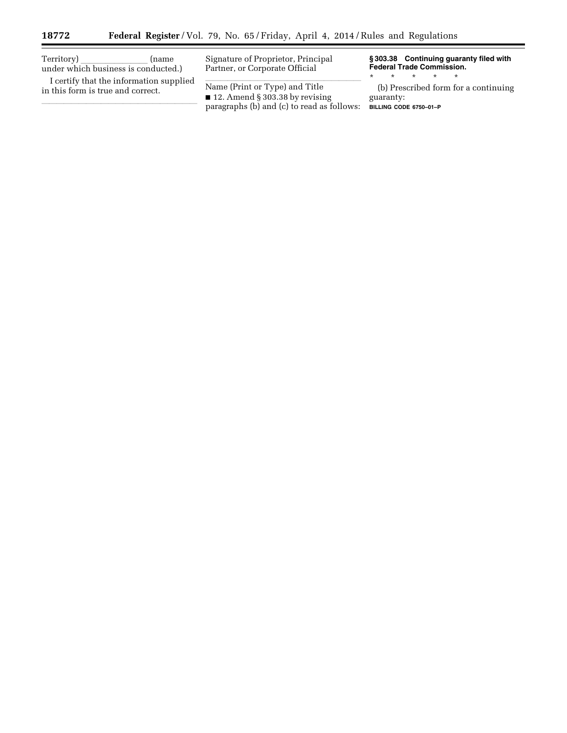۳

| Territory)<br>(name<br>under which business is conducted.)                   | Signature of Proprietor, Principal<br>Partner, or Corporate Official                                                          | §303.38 Continuing guaranty filed with<br><b>Federal Trade Commission.</b>  |
|------------------------------------------------------------------------------|-------------------------------------------------------------------------------------------------------------------------------|-----------------------------------------------------------------------------|
| I certify that the information supplied<br>in this form is true and correct. | Name (Print or Type) and Title<br>$\blacksquare$ 12. Amend § 303.38 by revising<br>paragraphs (b) and (c) to read as follows: | (b) Prescribed form for a continuing<br>guaranty:<br>BILLING CODE 6750-01-P |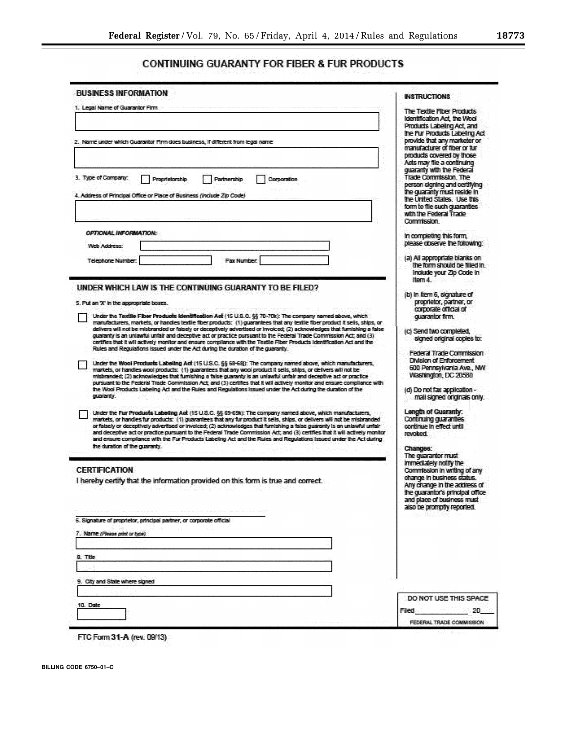÷

# **CONTINUING GUARANTY FOR FIBER & FUR PRODUCTS**

| <b>BUSINESS INFORMATION</b>                                                                                                                                                                                                                                                                                                                                                                                                                                                                                                                                                                                             | <b>INSTRUCTIONS</b>                                                                                                                                                                                                     |
|-------------------------------------------------------------------------------------------------------------------------------------------------------------------------------------------------------------------------------------------------------------------------------------------------------------------------------------------------------------------------------------------------------------------------------------------------------------------------------------------------------------------------------------------------------------------------------------------------------------------------|-------------------------------------------------------------------------------------------------------------------------------------------------------------------------------------------------------------------------|
| 1. Legal Name of Guarantor Firm                                                                                                                                                                                                                                                                                                                                                                                                                                                                                                                                                                                         | The Textle Fiber Products<br>Identification Act, the Wool<br>Products Labeling Act, and                                                                                                                                 |
| 2. Name under which Guarantor Firm does business. If different from legal name                                                                                                                                                                                                                                                                                                                                                                                                                                                                                                                                          | the Fur Products Labeling Act<br>provide that any marketer or<br>manufacturer of fiber or fur<br>products covered by those.                                                                                             |
| 3. Type of Company:<br>Corporation<br>Proprietorship<br>Partnership<br>4. Address of Principal Office or Place of Business (Include Zip Code)                                                                                                                                                                                                                                                                                                                                                                                                                                                                           | Acts may file a continuing<br>quaranty with the Federal<br><b>Trade Commission, The</b><br>person signing and certifying<br>the quaranty must reside in<br>the United States. Use this<br>form to file such quaranties. |
|                                                                                                                                                                                                                                                                                                                                                                                                                                                                                                                                                                                                                         | with the Federal Trade<br>Commission.                                                                                                                                                                                   |
| OPTIONAL INFORMATION:<br>Web Address:                                                                                                                                                                                                                                                                                                                                                                                                                                                                                                                                                                                   | In completing this form,<br>please observe the following:                                                                                                                                                               |
| <b>Telephone Number:</b><br>Fax Number                                                                                                                                                                                                                                                                                                                                                                                                                                                                                                                                                                                  | (a) All appropriate blanks on<br>the form should be filled in.<br>Indude your Zip Code in<br>liem 4                                                                                                                     |
| UNDER WHICH LAW IS THE CONTINUING GUARANTY TO BE FILED?<br>5. Put an 'X' in the appropriate boxes.<br>Under the Textile Fiber Products Identification Act (15 U.S.C. §§ 70-70k): The company named above, which                                                                                                                                                                                                                                                                                                                                                                                                         | (b) in Item 6, signature of<br>proprietor, partner, or<br>corporate official of<br>quarantor firm.                                                                                                                      |
| manufacturers, markets, or handes textle fiber products: (1) guarantees that any textle fiber product it sells, ships, or<br>delivers will not be misbranded or falsely or deceptively advertised or invoiced; (2) acknowledges that furnishing a false<br>ouaranty is an unlawful unfair and deceptive act or practice pursuant to the Federal Trade Commission Act: and (3)<br>certifies that it will actively monitor and ensure compliance with the Textile Fiber Products Identification Act and the<br>Rules and Regulations issued under the Act during the duration of the quaranty.                            | (c) Send two completed,<br>signed original copies to:                                                                                                                                                                   |
| Under the Wool Products Labeling Act (15 U.S.C. §§ 68-68): The company named above, which manufacturers,<br>markets, or handles wool products: (1) guarantees that any wool product it sells, ships, or delivers will not be<br>misbranded; (2) acknowledges that furnishing a false guaranty is an unlawful unfair and deceptive act or practice<br>pursuant to the Federal Trade Commission Act; and (3) certifies that it will actively monitor and ensure compliance with                                                                                                                                           | Federal Trade Commission<br><b>Division of Enforcement</b><br>600 Pennsylvania Ave., NW<br>Washington, DC 20580                                                                                                         |
| the Wool Products Labeling Act and the Rules and Regulations issued under the Act during the duration of the<br>curatoris.                                                                                                                                                                                                                                                                                                                                                                                                                                                                                              | (d) Do not fax application -<br>mall signed originals only.                                                                                                                                                             |
| Under the Fur Products Labeling Act (15 U.S.C. 66 69-69%): The company named above, which manufacturers,<br>markets, or handles fur products: (1) guarantees that any fur product it sells, ships, or delivers will not be misbranded<br>or faisely or deceptively advertised or invoiced; (2) acknowledges that furnishing a faise guaranty is an unlawful unfair<br>and deceptive act or practice pursuant to the Federal Trade Commission Act: and (3) certifies that it will actively monitor<br>and ensure compliance with the Fur Products Labeling Act and the Rules and Regulations Issued under the Act during | Length of Guaranty:<br>Continuing quarantes<br>continue in effect until<br>revolued                                                                                                                                     |
| the duration of the quaranty.                                                                                                                                                                                                                                                                                                                                                                                                                                                                                                                                                                                           | Спапрес<br>The quarantor must                                                                                                                                                                                           |
| <b>CERTIFICATION</b><br>I hereby certify that the information provided on this form is true and correct.                                                                                                                                                                                                                                                                                                                                                                                                                                                                                                                | Immediately notify the<br>Commission in writing of any<br>change in business status.<br>Any change in the address of<br>the quarantor's principal office<br>and place of business must<br>also be promptly reported.    |
| 5. Signature of proprietor, principal partner, or corporate official                                                                                                                                                                                                                                                                                                                                                                                                                                                                                                                                                    |                                                                                                                                                                                                                         |
| 7. Name (Please odd or type)                                                                                                                                                                                                                                                                                                                                                                                                                                                                                                                                                                                            |                                                                                                                                                                                                                         |
| 8. Title                                                                                                                                                                                                                                                                                                                                                                                                                                                                                                                                                                                                                |                                                                                                                                                                                                                         |
|                                                                                                                                                                                                                                                                                                                                                                                                                                                                                                                                                                                                                         |                                                                                                                                                                                                                         |
| 9. City and State where signed                                                                                                                                                                                                                                                                                                                                                                                                                                                                                                                                                                                          |                                                                                                                                                                                                                         |
| 10. Date                                                                                                                                                                                                                                                                                                                                                                                                                                                                                                                                                                                                                | DO NOT USE THIS SPACE<br><b>Flied</b><br>- 20                                                                                                                                                                           |
|                                                                                                                                                                                                                                                                                                                                                                                                                                                                                                                                                                                                                         | FEDERAL TRADE COMMISSION.                                                                                                                                                                                               |

**BILLING CODE 6750–01–C**